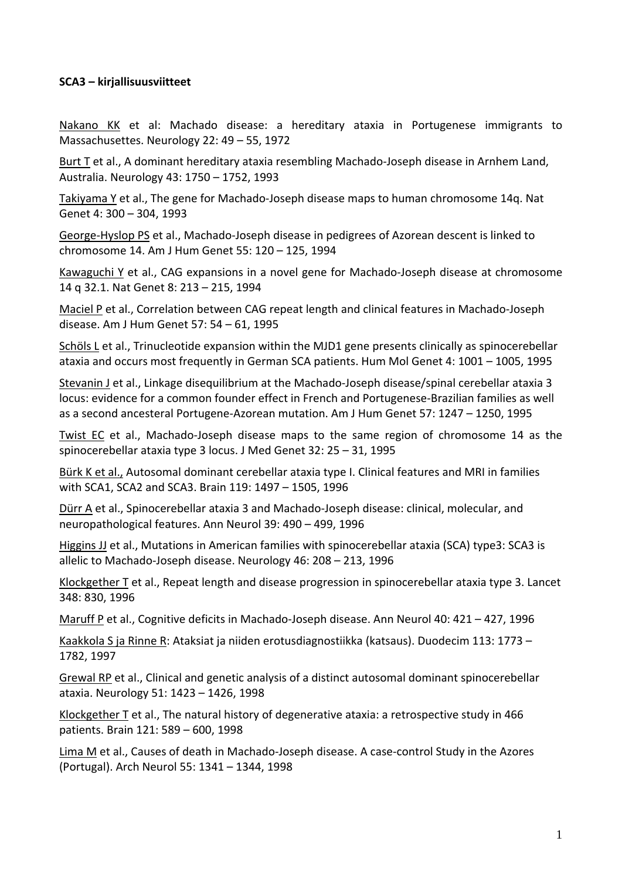## **SCA3 – kirjallisuusviitteet**

Nakano KK et al: Machado disease: a hereditary ataxia in Portugenese immigrants to Massachusettes. Neurology 22: 49 – 55, 1972

Burt T et al., A dominant hereditary ataxia resembling Machado‐Joseph disease in Arnhem Land, Australia. Neurology 43: 1750 – 1752, 1993

Takiyama Y et al., The gene for Machado-Joseph disease maps to human chromosome 14q. Nat Genet 4: 300 – 304, 1993

George‐Hyslop PS et al., Machado‐Joseph disease in pedigrees of Azorean descent is linked to chromosome 14. Am J Hum Genet 55: 120 – 125, 1994

Kawaguchi Y et al., CAG expansions in a novel gene for Machado‐Joseph disease at chromosome 14 q 32.1. Nat Genet 8: 213 – 215, 1994

Maciel P et al., Correlation between CAG repeat length and clinical features in Machado‐Joseph disease. Am J Hum Genet 57: 54 – 61, 1995

Schöls L et al., Trinucleotide expansion within the MJD1 gene presents clinically as spinocerebellar ataxia and occurs most frequently in German SCA patients. Hum Mol Genet 4: 1001 – 1005, 1995

Stevanin J et al., Linkage disequilibrium at the Machado‐Joseph disease/spinal cerebellar ataxia 3 locus: evidence for a common founder effect in French and Portugenese‐Brazilian families as well as a second ancesteral Portugene‐Azorean mutation. Am J Hum Genet 57: 1247 – 1250, 1995

Twist EC et al., Machado‐Joseph disease maps to the same region of chromosome 14 as the spinocerebellar ataxia type 3 locus. J Med Genet 32: 25 – 31, 1995

Bürk K et al., Autosomal dominant cerebellar ataxia type I. Clinical features and MRI in families with SCA1, SCA2 and SCA3. Brain 119: 1497 – 1505, 1996

Dürr A et al., Spinocerebellar ataxia 3 and Machado‐Joseph disease: clinical, molecular, and neuropathological features. Ann Neurol 39: 490 – 499, 1996

Higgins JJ et al., Mutations in American families with spinocerebellar ataxia (SCA) type3: SCA3 is allelic to Machado‐Joseph disease. Neurology 46: 208 – 213, 1996

Klockgether T et al., Repeat length and disease progression in spinocerebellar ataxia type 3. Lancet 348: 830, 1996

Maruff P et al., Cognitive deficits in Machado‐Joseph disease. Ann Neurol 40: 421 – 427, 1996

Kaakkola S ja Rinne R: Ataksiat ja niiden erotusdiagnostiikka (katsaus). Duodecim 113: 1773 – 1782, 1997

Grewal RP et al., Clinical and genetic analysis of a distinct autosomal dominant spinocerebellar ataxia. Neurology 51: 1423 – 1426, 1998

Klockgether T et al., The natural history of degenerative ataxia: a retrospective study in 466 patients. Brain 121: 589 – 600, 1998

Lima M et al., Causes of death in Machado‐Joseph disease. A case‐control Study in the Azores (Portugal). Arch Neurol 55: 1341 – 1344, 1998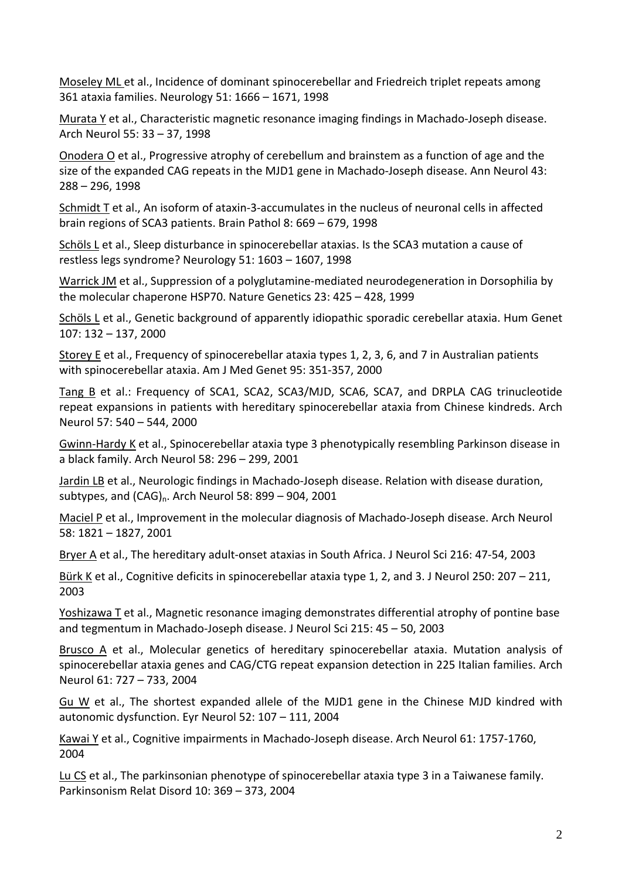Moseley ML et al., Incidence of dominant spinocerebellar and Friedreich triplet repeats among 361 ataxia families. Neurology 51: 1666 – 1671, 1998

Murata Y et al., Characteristic magnetic resonance imaging findings in Machado‐Joseph disease. Arch Neurol 55: 33 – 37, 1998

Onodera O et al., Progressive atrophy of cerebellum and brainstem as a function of age and the size of the expanded CAG repeats in the MJD1 gene in Machado‐Joseph disease. Ann Neurol 43: 288 – 296, 1998

Schmidt T et al., An isoform of ataxin‐3‐accumulates in the nucleus of neuronal cells in affected brain regions of SCA3 patients. Brain Pathol 8: 669 – 679, 1998

Schöls L et al., Sleep disturbance in spinocerebellar ataxias. Is the SCA3 mutation a cause of restless legs syndrome? Neurology 51: 1603 – 1607, 1998

Warrick JM et al., Suppression of a polyglutamine‐mediated neurodegeneration in Dorsophilia by the molecular chaperone HSP70. Nature Genetics 23: 425 – 428, 1999

Schöls L et al., Genetic background of apparently idiopathic sporadic cerebellar ataxia. Hum Genet 107: 132 – 137, 2000

Storey E et al., Frequency of spinocerebellar ataxia types 1, 2, 3, 6, and 7 in Australian patients with spinocerebellar ataxia. Am J Med Genet 95: 351‐357, 2000

Tang B et al.: Frequency of SCA1, SCA2, SCA3/MJD, SCA6, SCA7, and DRPLA CAG trinucleotide repeat expansions in patients with hereditary spinocerebellar ataxia from Chinese kindreds. Arch Neurol 57: 540 – 544, 2000

Gwinn‐Hardy K et al., Spinocerebellar ataxia type 3 phenotypically resembling Parkinson disease in a black family. Arch Neurol 58: 296 – 299, 2001

Jardin LB et al., Neurologic findings in Machado‐Joseph disease. Relation with disease duration, subtypes, and  $(CAG)_n$ . Arch Neurol 58: 899 – 904, 2001

Maciel P et al., Improvement in the molecular diagnosis of Machado-Joseph disease. Arch Neurol 58: 1821 – 1827, 2001

Bryer A et al., The hereditary adult‐onset ataxias in South Africa. J Neurol Sci 216: 47‐54, 2003

Bürk K et al., Cognitive deficits in spinocerebellar ataxia type 1, 2, and 3. J Neurol 250: 207 – 211, 2003

Yoshizawa T et al., Magnetic resonance imaging demonstrates differential atrophy of pontine base and tegmentum in Machado‐Joseph disease. J Neurol Sci 215: 45 – 50, 2003

Brusco A et al., Molecular genetics of hereditary spinocerebellar ataxia. Mutation analysis of spinocerebellar ataxia genes and CAG/CTG repeat expansion detection in 225 Italian families. Arch Neurol 61: 727 – 733, 2004

Gu W et al., The shortest expanded allele of the MJD1 gene in the Chinese MJD kindred with autonomic dysfunction. Eyr Neurol 52: 107 – 111, 2004

Kawai Y et al., Cognitive impairments in Machado‐Joseph disease. Arch Neurol 61: 1757‐1760, 2004

Lu CS et al., The parkinsonian phenotype of spinocerebellar ataxia type 3 in a Taiwanese family. Parkinsonism Relat Disord 10: 369 – 373, 2004